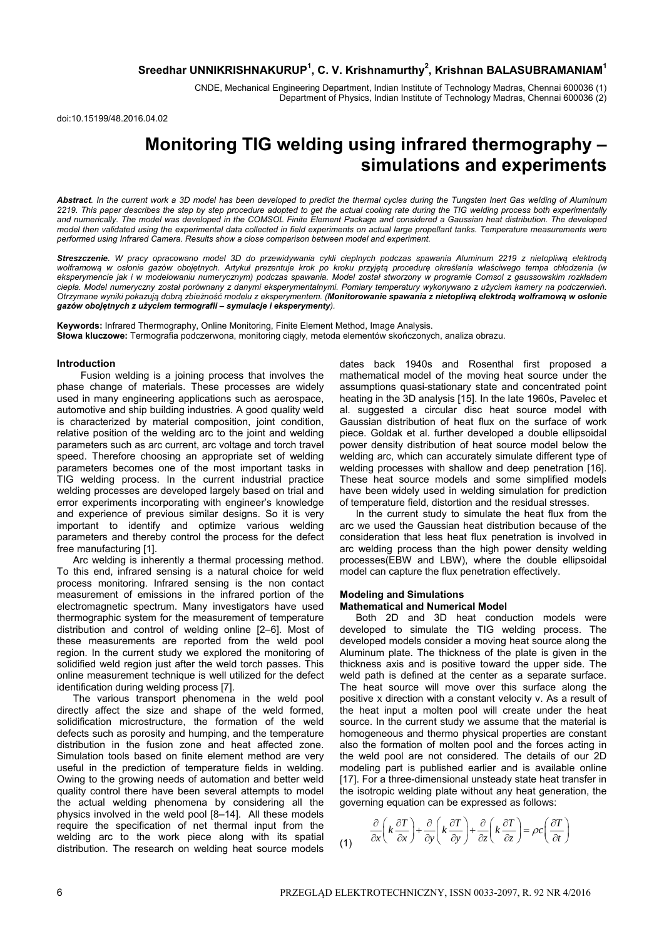# **Sreedhar UNNIKRISHNAKURUP<sup>1</sup> , C. V. Krishnamurthy2 , Krishnan BALASUBRAMANIAM1**

CNDE, Mechanical Engineering Department, Indian Institute of Technology Madras, Chennai 600036 (1) Department of Physics, Indian Institute of Technology Madras, Chennai 600036 (2)

doi:10.15199/48.2016.04.02

# **Monitoring TIG welding using infrared thermography – simulations and experiments**

*Abstract. In the current work a 3D model has been developed to predict the thermal cycles during the Tungsten Inert Gas welding of Aluminum 2219. This paper describes the step by step procedure adopted to get the actual cooling rate during the TIG welding process both experimentally*  and numerically. The model was developed in the COMSOL Finite Element Package and considered a Gaussian heat distribution. The developed *model then validated using the experimental data collected in field experiments on actual large propellant tanks. Temperature measurements were performed using Infrared Camera. Results show a close comparison between model and experiment.* 

*Streszczenie. W pracy opracowano model 3D do przewidywania cykli cieplnych podczas spawania Aluminum 2219 z nietopliwą elektrodą* wolframową w osłonie gazów obojętnych. Artykuł prezentuje krok po kroku przyjętą procedurę określania właściwego tempa chłodzenia (w *eksperymencie jak i w modelowaniu numerycznym) podczas spawania. Model został stworzony w programie Comsol z gaussowskim rozkładem ciepła. Model numeryczny został porównany z danymi eksperymentalnymi. Pomiary temperatury wykonywano z użyciem kamery na podczerwień.*  Otrzymane wyniki pokazują dobrą zbieżność modelu z eksperymentem. (Monitorowanie spawania z nietopliwą elektrodą wolframową w osłonie *gazów obojętnych z użyciem termografii – symulacje i eksperymenty).* 

**Keywords:** Infrared Thermography, Online Monitoring, Finite Element Method, Image Analysis. **Słowa kluczowe:** Termografia podczerwona, monitoring ciągły, metoda elementów skończonych, analiza obrazu.

### **Introduction**

 Fusion welding is a joining process that involves the phase change of materials. These processes are widely used in many engineering applications such as aerospace, automotive and ship building industries. A good quality weld is characterized by material composition, joint condition, relative position of the welding arc to the joint and welding parameters such as arc current, arc voltage and torch travel speed. Therefore choosing an appropriate set of welding parameters becomes one of the most important tasks in TIG welding process. In the current industrial practice welding processes are developed largely based on trial and error experiments incorporating with engineer's knowledge and experience of previous similar designs. So it is very important to identify and optimize various welding parameters and thereby control the process for the defect free manufacturing [1].

Arc welding is inherently a thermal processing method. To this end, infrared sensing is a natural choice for weld process monitoring. Infrared sensing is the non contact measurement of emissions in the infrared portion of the electromagnetic spectrum. Many investigators have used thermographic system for the measurement of temperature distribution and control of welding online [2–6]. Most of these measurements are reported from the weld pool region. In the current study we explored the monitoring of solidified weld region just after the weld torch passes. This online measurement technique is well utilized for the defect identification during welding process [7].

The various transport phenomena in the weld pool directly affect the size and shape of the weld formed, solidification microstructure, the formation of the weld defects such as porosity and humping, and the temperature distribution in the fusion zone and heat affected zone. Simulation tools based on finite element method are very useful in the prediction of temperature fields in welding. Owing to the growing needs of automation and better weld quality control there have been several attempts to model the actual welding phenomena by considering all the physics involved in the weld pool [8–14]. All these models require the specification of net thermal input from the welding arc to the work piece along with its spatial distribution. The research on welding heat source models

dates back 1940s and Rosenthal first proposed a mathematical model of the moving heat source under the assumptions quasi-stationary state and concentrated point heating in the 3D analysis [15]. In the late 1960s, Pavelec et al. suggested a circular disc heat source model with Gaussian distribution of heat flux on the surface of work piece. Goldak et al. further developed a double ellipsoidal power density distribution of heat source model below the welding arc, which can accurately simulate different type of welding processes with shallow and deep penetration [16]. These heat source models and some simplified models have been widely used in welding simulation for prediction of temperature field, distortion and the residual stresses.

In the current study to simulate the heat flux from the arc we used the Gaussian heat distribution because of the consideration that less heat flux penetration is involved in arc welding process than the high power density welding processes(EBW and LBW), where the double ellipsoidal model can capture the flux penetration effectively.

## **Modeling and Simulations**

#### **Mathematical and Numerical Model**

Both 2D and 3D heat conduction models were developed to simulate the TIG welding process. The developed models consider a moving heat source along the Aluminum plate. The thickness of the plate is given in the thickness axis and is positive toward the upper side. The weld path is defined at the center as a separate surface. The heat source will move over this surface along the positive x direction with a constant velocity v. As a result of the heat input a molten pool will create under the heat source. In the current study we assume that the material is homogeneous and thermo physical properties are constant also the formation of molten pool and the forces acting in the weld pool are not considered. The details of our 2D modeling part is published earlier and is available online [17]. For a three-dimensional unsteady state heat transfer in the isotropic welding plate without any heat generation, the governing equation can be expressed as follows:

(1) 
$$
\frac{\partial}{\partial x}\left(k \frac{\partial T}{\partial x}\right) + \frac{\partial}{\partial y}\left(k \frac{\partial T}{\partial y}\right) + \frac{\partial}{\partial z}\left(k \frac{\partial T}{\partial z}\right) = \rho c \left(\frac{\partial T}{\partial t}\right)
$$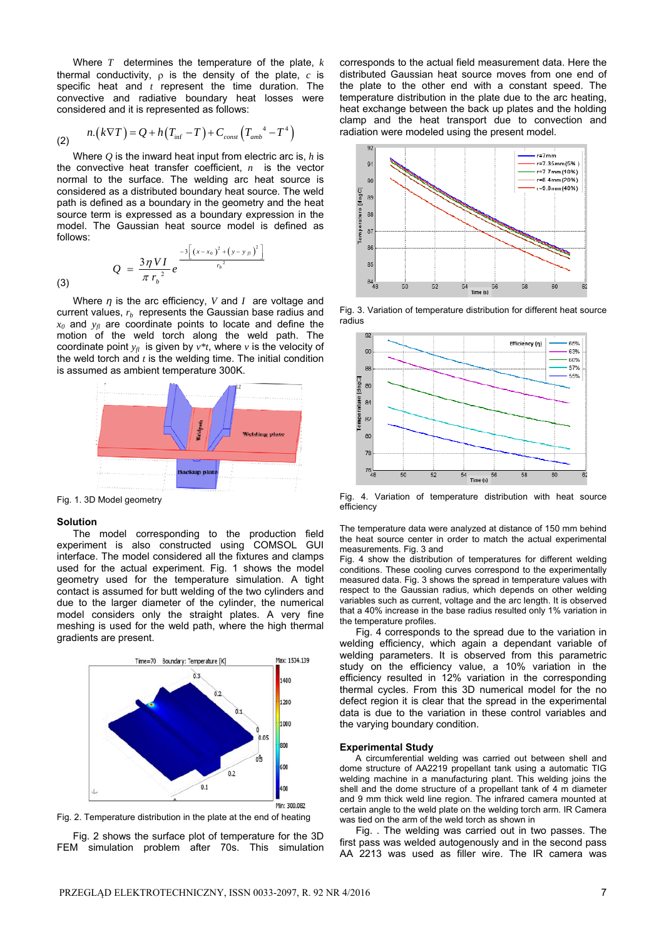Where *T* determines the temperature of the plate, *k* thermal conductivity,  $\rho$  is the density of the plate,  $c$  is specific heat and *t* represent the time duration. The convective and radiative boundary heat losses were considered and it is represented as follows:

(2) 
$$
n.(k\nabla T) = Q + h(T_{\text{inf}} - T) + C_{\text{const}}(T_{\text{amb}}^4 - T^4)
$$

Where *Q* is the inward heat input from electric arc is, *h* is the convective heat transfer coefficient, *n* is the vector normal to the surface. The welding arc heat source is considered as a distributed boundary heat source. The weld path is defined as a boundary in the geometry and the heat source term is expressed as a boundary expression in the model. The Gaussian heat source model is defined as follows:

(3) 
$$
Q = \frac{3\eta VI}{\pi r_b^{2}} e^{-3\left[\left(x-x_0\right)^2 + \left(y-y_{\beta}\right)^2\right]}
$$

Where *η* is the arc efficiency, *V* and *I* are voltage and current values,  $r<sub>b</sub>$  represents the Gaussian base radius and  $x_0$  and  $y_n$  are coordinate points to locate and define the motion of the weld torch along the weld path. The coordinate point  $y_{\text{fl}}$  is given by  $v^*t$ , where *v* is the velocity of the weld torch and *t* is the welding time. The initial condition is assumed as ambient temperature 300K.



Fig. 1. 3D Model geometry

#### **Solution**

The model corresponding to the production field experiment is also constructed using COMSOL GUI interface. The model considered all the fixtures and clamps used for the actual experiment. Fig. 1 shows the model geometry used for the temperature simulation. A tight contact is assumed for butt welding of the two cylinders and due to the larger diameter of the cylinder, the numerical model considers only the straight plates. A very fine meshing is used for the weld path, where the high thermal gradients are present.



Fig. 2. Temperature distribution in the plate at the end of heating

Fig. 2 shows the surface plot of temperature for the 3D FEM simulation problem after 70s. This simulation

corresponds to the actual field measurement data. Here the distributed Gaussian heat source moves from one end of the plate to the other end with a constant speed. The temperature distribution in the plate due to the arc heating, heat exchange between the back up plates and the holding clamp and the heat transport due to convection and radiation were modeled using the present model.



Fig. 3. Variation of temperature distribution for different heat source radius



Fig. 4. Variation of temperature distribution with heat source efficiency

The temperature data were analyzed at distance of 150 mm behind the heat source center in order to match the actual experimental measurements. Fig. 3 and

Fig. 4 show the distribution of temperatures for different welding conditions. These cooling curves correspond to the experimentally measured data. Fig. 3 shows the spread in temperature values with respect to the Gaussian radius, which depends on other welding variables such as current, voltage and the arc length. It is observed that a 40% increase in the base radius resulted only 1% variation in the temperature profiles.

Fig. 4 corresponds to the spread due to the variation in welding efficiency, which again a dependant variable of welding parameters. It is observed from this parametric study on the efficiency value, a 10% variation in the efficiency resulted in 12% variation in the corresponding thermal cycles. From this 3D numerical model for the no defect region it is clear that the spread in the experimental data is due to the variation in these control variables and the varying boundary condition.

#### **Experimental Study**

 A circumferential welding was carried out between shell and dome structure of AA2219 propellant tank using a automatic TIG welding machine in a manufacturing plant. This welding joins the shell and the dome structure of a propellant tank of 4 m diameter and 9 mm thick weld line region. The infrared camera mounted at certain angle to the weld plate on the welding torch arm. IR Camera was tied on the arm of the weld torch as shown in

Fig. . The welding was carried out in two passes. The first pass was welded autogenously and in the second pass AA 2213 was used as filler wire. The IR camera was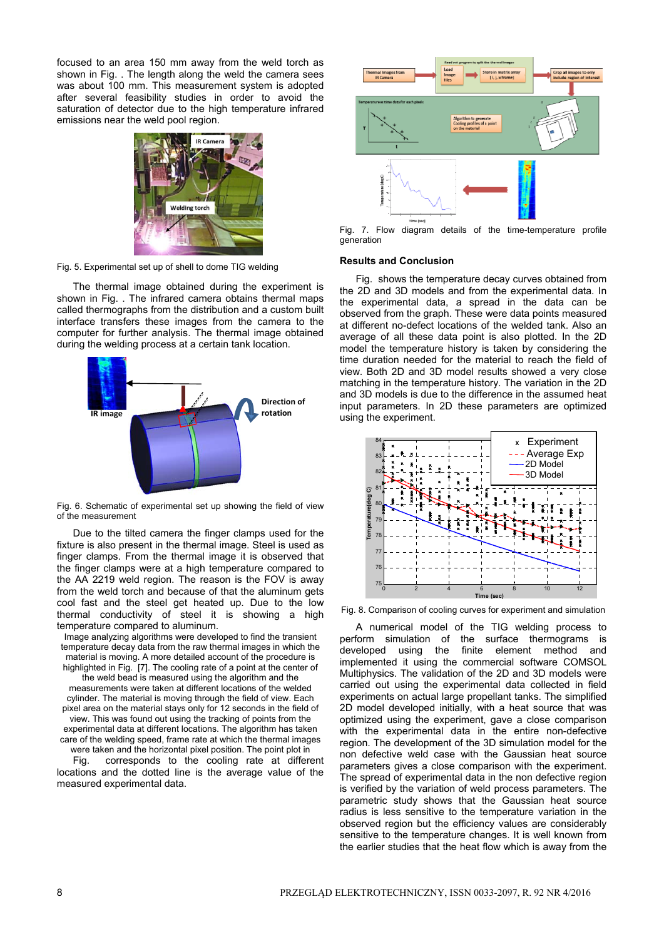focused to an area 150 mm away from the weld torch as shown in Fig. . The length along the weld the camera sees was about 100 mm. This measurement system is adopted after several feasibility studies in order to avoid the saturation of detector due to the high temperature infrared emissions near the weld pool region.



Fig. 5. Experimental set up of shell to dome TIG welding

The thermal image obtained during the experiment is shown in Fig. . The infrared camera obtains thermal maps called thermographs from the distribution and a custom built interface transfers these images from the camera to the computer for further analysis. The thermal image obtained during the welding process at a certain tank location.



Fig. 6. Schematic of experimental set up showing the field of view of the measurement

Due to the tilted camera the finger clamps used for the fixture is also present in the thermal image. Steel is used as finger clamps. From the thermal image it is observed that the finger clamps were at a high temperature compared to the AA 2219 weld region. The reason is the FOV is away from the weld torch and because of that the aluminum gets cool fast and the steel get heated up. Due to the low thermal conductivity of steel it is showing a high temperature compared to aluminum.

Image analyzing algorithms were developed to find the transient temperature decay data from the raw thermal images in which the material is moving. A more detailed account of the procedure is highlighted in Fig. [7]. The cooling rate of a point at the center of the weld bead is measured using the algorithm and the measurements were taken at different locations of the welded cylinder. The material is moving through the field of view. Each pixel area on the material stays only for 12 seconds in the field of view. This was found out using the tracking of points from the experimental data at different locations. The algorithm has taken care of the welding speed, frame rate at which the thermal images were taken and the horizontal pixel position. The point plot in

Fig. corresponds to the cooling rate at different locations and the dotted line is the average value of the measured experimental data.



Fig. 7. Flow diagram details of the time-temperature profile generation

## **Results and Conclusion**

Fig. shows the temperature decay curves obtained from the 2D and 3D models and from the experimental data. In the experimental data, a spread in the data can be observed from the graph. These were data points measured at different no-defect locations of the welded tank. Also an average of all these data point is also plotted. In the 2D model the temperature history is taken by considering the time duration needed for the material to reach the field of view. Both 2D and 3D model results showed a very close matching in the temperature history. The variation in the 2D and 3D models is due to the difference in the assumed heat input parameters. In 2D these parameters are optimized using the experiment.



Fig. 8. Comparison of cooling curves for experiment and simulation

A numerical model of the TIG welding process to perform simulation of the surface thermograms is developed using the finite element method and implemented it using the commercial software COMSOL Multiphysics. The validation of the 2D and 3D models were carried out using the experimental data collected in field experiments on actual large propellant tanks. The simplified 2D model developed initially, with a heat source that was optimized using the experiment, gave a close comparison with the experimental data in the entire non-defective region. The development of the 3D simulation model for the non defective weld case with the Gaussian heat source parameters gives a close comparison with the experiment. The spread of experimental data in the non defective region is verified by the variation of weld process parameters. The parametric study shows that the Gaussian heat source radius is less sensitive to the temperature variation in the observed region but the efficiency values are considerably sensitive to the temperature changes. It is well known from the earlier studies that the heat flow which is away from the